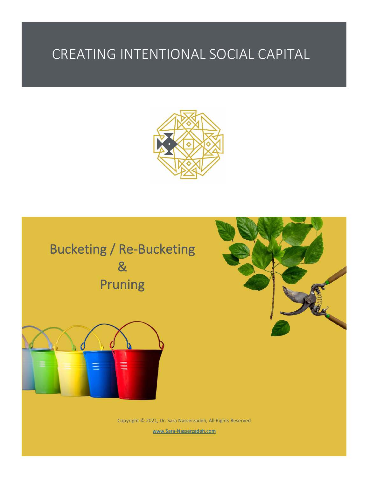## CREATING INTENTIONAL SOCIAL CAPITAL







Copyright © 2021, Dr. Sara Nasserzadeh, All Rights Reserved www.Sara-Nasserzadeh.com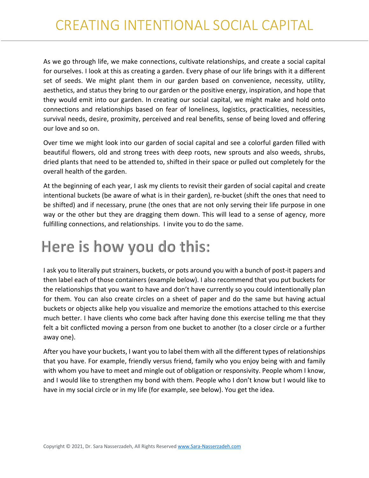As we go through life, we make connections, cultivate relationships, and create a social capital for ourselves. I look at this as creating a garden. Every phase of our life brings with it a different set of seeds. We might plant them in our garden based on convenience, necessity, utility, aesthetics, and status they bring to our garden or the positive energy, inspiration, and hope that they would emit into our garden. In creating our social capital, we might make and hold onto connections and relationships based on fear of loneliness, logistics, practicalities, necessities, survival needs, desire, proximity, perceived and real benefits, sense of being loved and offering our love and so on.

Over time we might look into our garden of social capital and see a colorful garden filled with beautiful flowers, old and strong trees with deep roots, new sprouts and also weeds, shrubs, dried plants that need to be attended to, shifted in their space or pulled out completely for the overall health of the garden.

At the beginning of each year, I ask my clients to revisit their garden of social capital and create intentional buckets (be aware of what is in their garden), re-bucket (shift the ones that need to be shifted) and if necessary, prune (the ones that are not only serving their life purpose in one way or the other but they are dragging them down. This will lead to a sense of agency, more fulfilling connections, and relationships. I invite you to do the same.

## Here is how you do this:

I ask you to literally put strainers, buckets, or pots around you with a bunch of post-it papers and then label each of those containers (example below). I also recommend that you put buckets for the relationships that you want to have and don't have currently so you could intentionally plan for them. You can also create circles on a sheet of paper and do the same but having actual buckets or objects alike help you visualize and memorize the emotions attached to this exercise much better. I have clients who come back after having done this exercise telling me that they felt a bit conflicted moving a person from one bucket to another (to a closer circle or a further away one).

After you have your buckets, I want you to label them with all the different types of relationships that you have. For example, friendly versus friend, family who you enjoy being with and family with whom you have to meet and mingle out of obligation or responsivity. People whom I know, and I would like to strengthen my bond with them. People who I don't know but I would like to have in my social circle or in my life (for example, see below). You get the idea.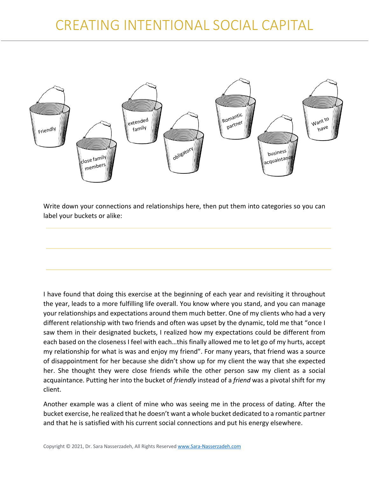

Write down your connections and relationships here, then put them into categories so you can label your buckets or alike:

I have found that doing this exercise at the beginning of each year and revisiting it throughout the year, leads to a more fulfilling life overall. You know where you stand, and you can manage your relationships and expectations around them much better. One of my clients who had a very different relationship with two friends and often was upset by the dynamic, told me that "once I saw them in their designated buckets, I realized how my expectations could be different from each based on the closeness I feel with each…this finally allowed me to let go of my hurts, accept my relationship for what is was and enjoy my friend". For many years, that friend was a source of disappointment for her because she didn't show up for my client the way that she expected her. She thought they were close friends while the other person saw my client as a social acquaintance. Putting her into the bucket of *friendly* instead of a *friend* was a pivotal shift for my client.

Another example was a client of mine who was seeing me in the process of dating. After the bucket exercise, he realized that he doesn't want a whole bucket dedicated to a romantic partner and that he is satisfied with his current social connections and put his energy elsewhere.